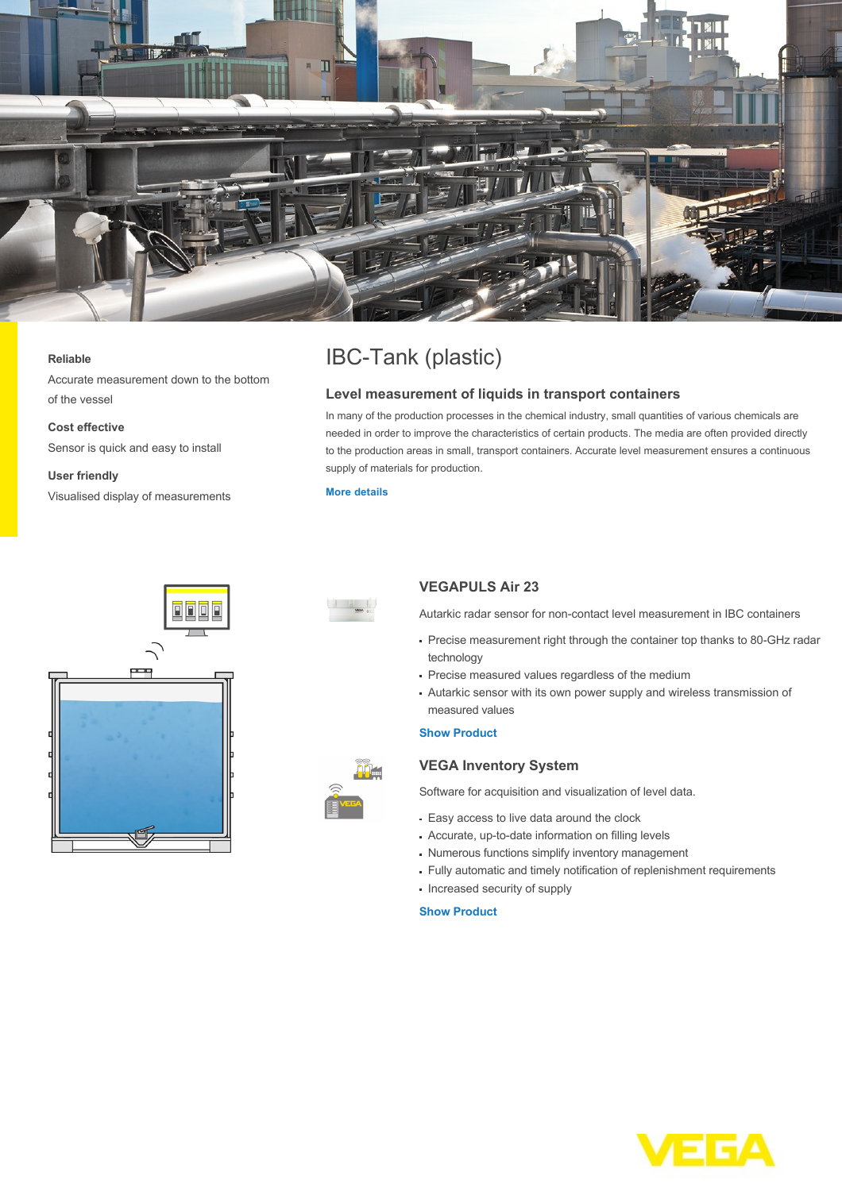

#### **Reliable**

Accurate measurement down to the bottom of the vessel

## **Cost effective**

Sensor is quick and easy to install

# **User friendly**

Visualised display of measurements

# IBC-Tank (plastic)

# **Level measurement of liquids in transport containers**

In many of the production processes in the chemical industry, small quantities of various chemicals are needed in order to improve the characteristics of certain products. The media are often provided directly to the production areas in small, transport containers. Accurate level measurement ensures a continuous supply of materials for production.

#### **[More details](http://localhost/en-us/industries/chemical/ibc-tank-plastic)**





# **VEGAPULS Air 23**

Autarkic radar sensor for non-contact level measurement in IBC containers

- Precise measurement right through the container top thanks to 80-GHz radar technology
- Precise measured values regardless of the medium
- Autarkic sensor with its own power supply and wireless transmission of measured values

## **[Show Product](http://localhost/en-us/products/product-catalog/level/radar/vegapuls-air-23)**

# **VEGA Inventory System**

Software for acquisition and visualization of level data.

- Easy access to live data around the clock
- Accurate, up-to-date information on filling levels
- Numerous functions simplify inventory management
- Fully automatic and timely notification of replenishment requirements
- Increased security of supply

## **[Show Product](http://localhost/en-us/products/product-catalog/signal-conditioning/software/vega-inventory-system---vega-hosting)**